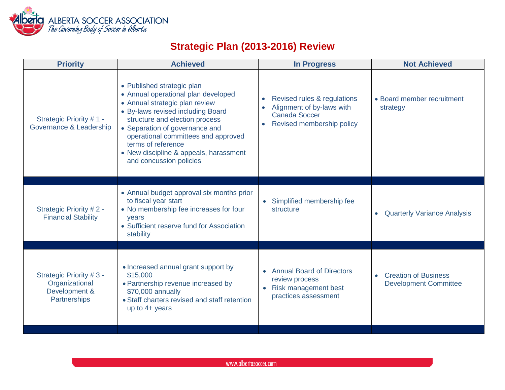

## **Strategic Plan (2013-2016) Review**

| <b>Priority</b>                                                            | <b>Achieved</b>                                                                                                                                                                                                                                                                                                                                | <b>In Progress</b>                                                                                            | <b>Not Achieved</b>                                         |
|----------------------------------------------------------------------------|------------------------------------------------------------------------------------------------------------------------------------------------------------------------------------------------------------------------------------------------------------------------------------------------------------------------------------------------|---------------------------------------------------------------------------------------------------------------|-------------------------------------------------------------|
| Strategic Priority #1 -<br>Governance & Leadership                         | • Published strategic plan<br>• Annual operational plan developed<br>• Annual strategic plan review<br>• By-laws revised including Board<br>structure and election process<br>• Separation of governance and<br>operational committees and approved<br>terms of reference<br>• New discipline & appeals, harassment<br>and concussion policies | Revised rules & regulations<br>Alignment of by-laws with<br><b>Canada Soccer</b><br>Revised membership policy | • Board member recruitment<br>strategy                      |
| Strategic Priority #2 -<br><b>Financial Stability</b>                      | • Annual budget approval six months prior<br>to fiscal year start<br>• No membership fee increases for four<br>years<br>• Sufficient reserve fund for Association<br>stability                                                                                                                                                                 | • Simplified membership fee<br>structure                                                                      | <b>Quarterly Variance Analysis</b><br>$\bullet$             |
| Strategic Priority #3 -<br>Organizational<br>Development &<br>Partnerships | • Increased annual grant support by<br>\$15,000<br>• Partnership revenue increased by<br>\$70,000 annually<br>• Staff charters revised and staff retention<br>up to $4+$ years                                                                                                                                                                 | <b>Annual Board of Directors</b><br>review process<br>• Risk management best<br>practices assessment          | <b>Creation of Business</b><br><b>Development Committee</b> |